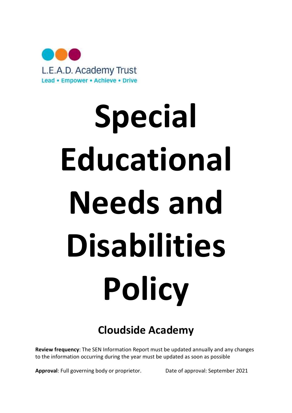

# Special Educational Needs and Disabilities Policy

# Cloudside Academy

Review frequency: The SEN Information Report must be updated annually and any changes to the information occurring during the year must be updated as soon as possible

Approval: Full governing body or proprietor. Date of approval: September 2021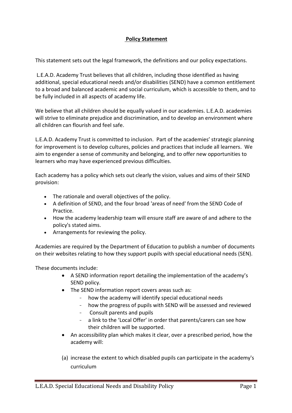#### Policy Statement

This statement sets out the legal framework, the definitions and our policy expectations.

 L.E.A.D. Academy Trust believes that all children, including those identified as having additional, special educational needs and/or disabilities (SEND) have a common entitlement to a broad and balanced academic and social curriculum, which is accessible to them, and to be fully included in all aspects of academy life.

We believe that all children should be equally valued in our academies. L.E.A.D. academies will strive to eliminate prejudice and discrimination, and to develop an environment where all children can flourish and feel safe.

L.E.A.D. Academy Trust is committed to inclusion. Part of the academies' strategic planning for improvement is to develop cultures, policies and practices that include all learners. We aim to engender a sense of community and belonging, and to offer new opportunities to learners who may have experienced previous difficulties.

Each academy has a policy which sets out clearly the vision, values and aims of their SEND provision:

- The rationale and overall objectives of the policy.
- A definition of SEND, and the four broad 'areas of need' from the SEND Code of Practice.
- How the academy leadership team will ensure staff are aware of and adhere to the policy's stated aims.
- Arrangements for reviewing the policy.

Academies are required by the Department of Education to publish a number of documents on their websites relating to how they support pupils with special educational needs (SEN).

These documents include:

- A SEND information report detailing the implementation of the academy's SEND policy.
- The SEND information report covers areas such as:
	- how the academy will identify special educational needs
	- how the progress of pupils with SEND will be assessed and reviewed
	- Consult parents and pupils
	- a link to the 'Local Offer' in order that parents/carers can see how their children will be supported.
- An accessibility plan which makes it clear, over a prescribed period, how the academy will:
- (a) increase the extent to which disabled pupils can participate in the academy's curriculum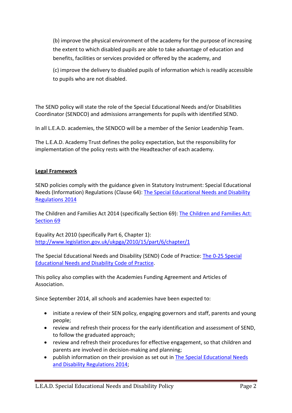(b) improve the physical environment of the academy for the purpose of increasing the extent to which disabled pupils are able to take advantage of education and benefits, facilities or services provided or offered by the academy, and

(c) improve the delivery to disabled pupils of information which is readily accessible to pupils who are not disabled.

The SEND policy will state the role of the Special Educational Needs and/or Disabilities Coordinator (SENDCO) and admissions arrangements for pupils with identified SEND.

In all L.E.A.D. academies, the SENDCO will be a member of the Senior Leadership Team.

The L.E.A.D. Academy Trust defines the policy expectation, but the responsibility for implementation of the policy rests with the Headteacher of each academy.

#### Legal Framework

SEND policies comply with the guidance given in Statutory Instrument: Special Educational Needs (Information) Regulations (Clause 64): The Special Educational Needs and Disability Regulations 2014

The Children and Families Act 2014 (specifically Section 69): The Children and Families Act: Section 69

Equality Act 2010 (specifically Part 6, Chapter 1): http://www.legislation.gov.uk/ukpga/2010/15/part/6/chapter/1

The Special Educational Needs and Disability (SEND) Code of Practice: The 0-25 Special Educational Needs and Disability Code of Practice.

This policy also complies with the Academies Funding Agreement and Articles of Association.

Since September 2014, all schools and academies have been expected to:

- initiate a review of their SEN policy, engaging governors and staff, parents and young people;
- review and refresh their process for the early identification and assessment of SEND, to follow the graduated approach;
- review and refresh their procedures for effective engagement, so that children and parents are involved in decision-making and planning;
- publish information on their provision as set out in The Special Educational Needs and Disability Regulations 2014;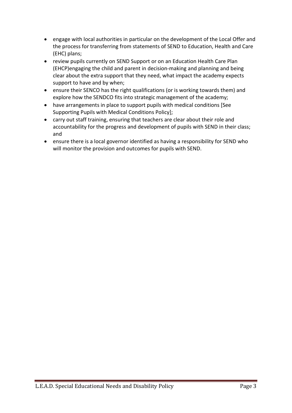- engage with local authorities in particular on the development of the Local Offer and the process for transferring from statements of SEND to Education, Health and Care (EHC) plans;
- review pupils currently on SEND Support or on an Education Health Care Plan (EHCP)engaging the child and parent in decision-making and planning and being clear about the extra support that they need, what impact the academy expects support to have and by when;
- ensure their SENCO has the right qualifications (or is working towards them) and explore how the SENDCO fits into strategic management of the academy;
- have arrangements in place to support pupils with medical conditions [See Supporting Pupils with Medical Conditions Policy];
- carry out staff training, ensuring that teachers are clear about their role and accountability for the progress and development of pupils with SEND in their class; and
- ensure there is a local governor identified as having a responsibility for SEND who will monitor the provision and outcomes for pupils with SEND.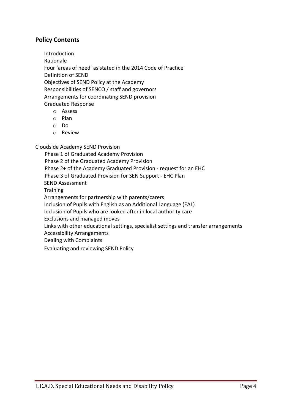# Policy Contents

Introduction Rationale Four 'areas of need' as stated in the 2014 Code of Practice Definition of SEND Objectives of SEND Policy at the Academy Responsibilities of SENCO / staff and governors Arrangements for coordinating SEND provision Graduated Response

- o Assess
- o Plan
- o Do
- o Review

Cloudside Academy SEND Provision

 Phase 1 of Graduated Academy Provision Phase 2 of the Graduated Academy Provision Phase 2+ of the Academy Graduated Provision - request for an EHC Phase 3 of Graduated Provision for SEN Support - EHC Plan SEND Assessment **Training** Arrangements for partnership with parents/carers Inclusion of Pupils with English as an Additional Language (EAL) Inclusion of Pupils who are looked after in local authority care Exclusions and managed moves Links with other educational settings, specialist settings and transfer arrangements Accessibility Arrangements Dealing with Complaints Evaluating and reviewing SEND Policy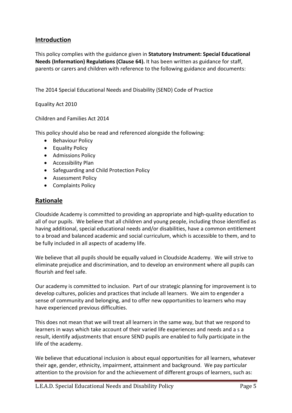# Introduction

This policy complies with the guidance given in Statutory Instrument: Special Educational Needs (Information) Regulations (Clause 64). It has been written as guidance for staff, parents or carers and children with reference to the following guidance and documents:

The 2014 Special Educational Needs and Disability (SEND) Code of Practice

Equality Act 2010

Children and Families Act 2014

This policy should also be read and referenced alongside the following:

- Behaviour Policy
- Equality Policy
- Admissions Policy
- Accessibility Plan
- Safeguarding and Child Protection Policy
- **•** Assessment Policy
- Complaints Policy

#### Rationale

Cloudside Academy is committed to providing an appropriate and high-quality education to all of our pupils. We believe that all children and young people, including those identified as having additional, special educational needs and/or disabilities, have a common entitlement to a broad and balanced academic and social curriculum, which is accessible to them, and to be fully included in all aspects of academy life.

We believe that all pupils should be equally valued in Cloudside Academy. We will strive to eliminate prejudice and discrimination, and to develop an environment where all pupils can flourish and feel safe.

Our academy is committed to inclusion. Part of our strategic planning for improvement is to develop cultures, policies and practices that include all learners. We aim to engender a sense of community and belonging, and to offer new opportunities to learners who may have experienced previous difficulties.

This does not mean that we will treat all learners in the same way, but that we respond to learners in ways which take account of their varied life experiences and needs and a s a result, identify adjustments that ensure SEND pupils are enabled to fully participate in the life of the academy.

We believe that educational inclusion is about equal opportunities for all learners, whatever their age, gender, ethnicity, impairment, attainment and background. We pay particular attention to the provision for and the achievement of different groups of learners, such as: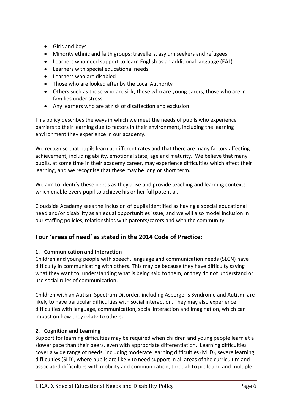- Girls and boys
- Minority ethnic and faith groups: travellers, asylum seekers and refugees
- Learners who need support to learn English as an additional language (EAL)
- Learners with special educational needs
- Learners who are disabled
- Those who are looked after by the Local Authority
- Others such as those who are sick; those who are young carers; those who are in families under stress.
- Any learners who are at risk of disaffection and exclusion.

This policy describes the ways in which we meet the needs of pupils who experience barriers to their learning due to factors in their environment, including the learning environment they experience in our academy.

We recognise that pupils learn at different rates and that there are many factors affecting achievement, including ability, emotional state, age and maturity. We believe that many pupils, at some time in their academy career, may experience difficulties which affect their learning, and we recognise that these may be long or short term.

We aim to identify these needs as they arise and provide teaching and learning contexts which enable every pupil to achieve his or her full potential.

Cloudside Academy sees the inclusion of pupils identified as having a special educational need and/or disability as an equal opportunities issue, and we will also model inclusion in our staffing policies, relationships with parents/carers and with the community.

# Four 'areas of need' as stated in the 2014 Code of Practice:

#### 1. Communication and Interaction

Children and young people with speech, language and communication needs (SLCN) have difficulty in communicating with others. This may be because they have difficulty saying what they want to, understanding what is being said to them, or they do not understand or use social rules of communication.

Children with an Autism Spectrum Disorder, including Asperger's Syndrome and Autism, are likely to have particular difficulties with social interaction. They may also experience difficulties with language, communication, social interaction and imagination, which can impact on how they relate to others.

# 2. Cognition and Learning

Support for learning difficulties may be required when children and young people learn at a slower pace than their peers, even with appropriate differentiation. Learning difficulties cover a wide range of needs, including moderate learning difficulties (MLD), severe learning difficulties (SLD), where pupils are likely to need support in all areas of the curriculum and associated difficulties with mobility and communication, through to profound and multiple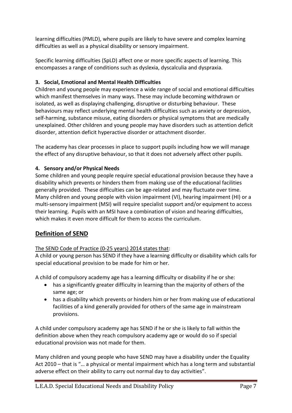learning difficulties (PMLD), where pupils are likely to have severe and complex learning difficulties as well as a physical disability or sensory impairment.

Specific learning difficulties (SpLD) affect one or more specific aspects of learning. This encompasses a range of conditions such as dyslexia, dyscalculia and dyspraxia.

# 3. Social, Emotional and Mental Health Difficulties

Children and young people may experience a wide range of social and emotional difficulties which manifest themselves in many ways. These may include becoming withdrawn or isolated, as well as displaying challenging, disruptive or disturbing behaviour. These behaviours may reflect underlying mental health difficulties such as anxiety or depression, self-harming, substance misuse, eating disorders or physical symptoms that are medically unexplained. Other children and young people may have disorders such as attention deficit disorder, attention deficit hyperactive disorder or attachment disorder.

The academy has clear processes in place to support pupils including how we will manage the effect of any disruptive behaviour, so that it does not adversely affect other pupils.

# 4. Sensory and/or Physical Needs

Some children and young people require special educational provision because they have a disability which prevents or hinders them from making use of the educational facilities generally provided. These difficulties can be age-related and may fluctuate over time. Many children and young people with vision impairment (VI), hearing impairment (HI) or a multi-sensory impairment (MSI) will require specialist support and/or equipment to access their learning. Pupils with an MSI have a combination of vision and hearing difficulties, which makes it even more difficult for them to access the curriculum.

# Definition of SEND

#### The SEND Code of Practice (0-25 years) 2014 states that:

A child or young person has SEND if they have a learning difficulty or disability which calls for special educational provision to be made for him or her.

A child of compulsory academy age has a learning difficulty or disability if he or she:

- has a significantly greater difficulty in learning than the majority of others of the same age; or
- has a disability which prevents or hinders him or her from making use of educational facilities of a kind generally provided for others of the same age in mainstream provisions.

A child under compulsory academy age has SEND if he or she is likely to fall within the definition above when they reach compulsory academy age or would do so if special educational provision was not made for them.

Many children and young people who have SEND may have a disability under the Equality Act 2010 – that is "… a physical or mental impairment which has a long term and substantial adverse effect on their ability to carry out normal day to day activities".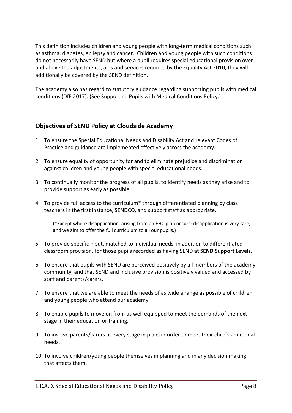This definition includes children and young people with long-term medical conditions such as asthma, diabetes, epilepsy and cancer. Children and young people with such conditions do not necessarily have SEND but where a pupil requires special educational provision over and above the adjustments, aids and services required by the Equality Act 2010, they will additionally be covered by the SEND definition.

The academy also has regard to statutory guidance regarding supporting pupils with medical conditions (DfE 2017). (See Supporting Pupils with Medical Conditions Policy.)

# Objectives of SEND Policy at Cloudside Academy

- 1. To ensure the Special Educational Needs and Disability Act and relevant Codes of Practice and guidance are implemented effectively across the academy.
- 2. To ensure equality of opportunity for and to eliminate prejudice and discrimination against children and young people with special educational needs.
- 3. To continually monitor the progress of all pupils, to identify needs as they arise and to provide support as early as possible.
- 4. To provide full access to the curriculum\* through differentiated planning by class teachers in the first instance, SENDCO, and support staff as appropriate.

(\*Except where disapplication, arising from an EHC plan occurs; disapplication is very rare, and we aim to offer the full curriculum to all our pupils.)

- 5. To provide specific input, matched to individual needs, in addition to differentiated classroom provision, for those pupils recorded as having SEND at SEND Support Levels.
- 6. To ensure that pupils with SEND are perceived positively by all members of the academy community, and that SEND and inclusive provision is positively valued and accessed by staff and parents/carers.
- 7. To ensure that we are able to meet the needs of as wide a range as possible of children and young people who attend our academy.
- 8. To enable pupils to move on from us well equipped to meet the demands of the next stage in their education or training.
- 9. To involve parents/carers at every stage in plans in order to meet their child's additional needs.
- 10. To involve children/young people themselves in planning and in any decision making that affects them.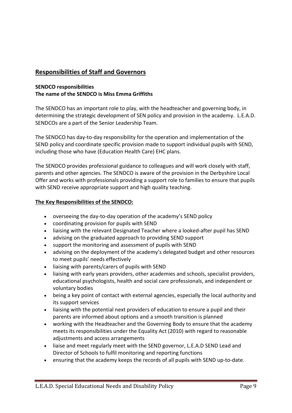# Responsibilities of Staff and Governors

#### SENDCO responsibilities The name of the SENDCO is Miss Emma Griffiths

The SENDCO has an important role to play, with the headteacher and governing body, in determining the strategic development of SEN policy and provision in the academy. L.E.A.D. SENDCOs are a part of the Senior Leadership Team.

The SENDCO has day-to-day responsibility for the operation and implementation of the SEND policy and coordinate specific provision made to support individual pupils with SEND, including those who have (Education Health Care) EHC plans.

The SENDCO provides professional guidance to colleagues and will work closely with staff, parents and other agencies. The SENDCO is aware of the provision in the Derbyshire Local Offer and works with professionals providing a support role to families to ensure that pupils with SEND receive appropriate support and high quality teaching.

#### The Key Responsibilities of the SENDCO:

- overseeing the day-to-day operation of the academy's SEND policy
- coordinating provision for pupils with SEND
- liaising with the relevant Designated Teacher where a looked-after pupil has SEND
- advising on the graduated approach to providing SEND support
- support the monitoring and assessment of pupils with SEND
- advising on the deployment of the academy's delegated budget and other resources to meet pupils' needs effectively
- liaising with parents/carers of pupils with SEND
- liaising with early years providers, other academies and schools, specialist providers, educational psychologists, health and social care professionals, and independent or voluntary bodies
- being a key point of contact with external agencies, especially the local authority and its support services
- liaising with the potential next providers of education to ensure a pupil and their parents are informed about options and a smooth transition is planned
- working with the Headteacher and the Governing Body to ensure that the academy meets its responsibilities under the Equality Act (2010) with regard to reasonable adjustments and access arrangements
- liaise and meet regularly meet with the SEND governor, L.E.A.D SEND Lead and Director of Schools to fulfil monitoring and reporting functions
- ensuring that the academy keeps the records of all pupils with SEND up-to-date.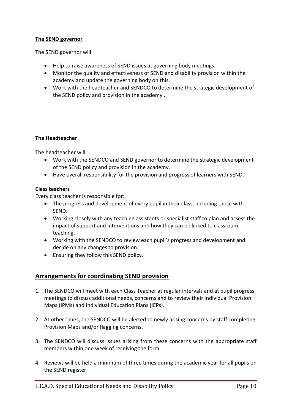#### The SEND governor

The SEND governor will:

- Help to raise awareness of SEND issues at governing body meetings.
- Monitor the quality and effectiveness of SEND and disability provision within the academy and update the governing body on this.
- Work with the headteacher and SENDCO to determine the strategic development of the SEND policy and provision in the academy .

#### The Headteacher

The headteacher will:

- Work with the SENDCO and SEND governor to determine the strategic development of the SEND policy and provision in the academy.
- Have overall responsibility for the provision and progress of learners with SEND.

#### Class teachers

Every class teacher is responsible for:

- The progress and development of every pupil in their class, including those with SEND.
- Working closely with any teaching assistants or specialist staff to plan and assess the impact of support and interventions and how they can be linked to classroom teaching.
- Working with the SENDCO to review each pupil's progress and development and decide on any changes to provision.
- Ensuring they follow this SEND policy.

#### Arrangements for coordinating SEND provision

- 1. The SENDCO will meet with each Class Teacher at regular intervals and at pupil progress meetings to discuss additional needs, concerns and to review their Individual Provision Maps (IPMs) and Individual Education Plans (IEPs).
- 2. At other times, the SENDCO will be alerted to newly arising concerns by staff completing Provision Maps and/or flagging concerns.
- 3. The SENDCO will discuss issues arising from these concerns with the appropriate staff members within one week of receiving the form.
- 4. Reviews will be held a minimum of three times during the academic year for all pupils on the SEND register.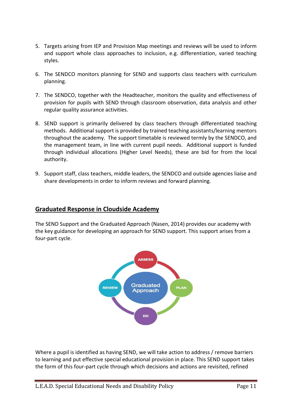- 5. Targets arising from IEP and Provision Map meetings and reviews will be used to inform and support whole class approaches to inclusion, e.g. differentiation, varied teaching styles.
- 6. The SENDCO monitors planning for SEND and supports class teachers with curriculum planning.
- 7. The SENDCO, together with the Headteacher, monitors the quality and effectiveness of provision for pupils with SEND through classroom observation, data analysis and other regular quality assurance activities.
- 8. SEND support is primarily delivered by class teachers through differentiated teaching methods. Additional support is provided by trained teaching assistants/learning mentors throughout the academy. The support timetable is reviewed termly by the SENDCO, and the management team, in line with current pupil needs. Additional support is funded through individual allocations (Higher Level Needs), these are bid for from the local authority.
- 9. Support staff, class teachers, middle leaders, the SENDCO and outside agencies liaise and share developments in order to inform reviews and forward planning.

#### Graduated Response in Cloudside Academy

The SEND Support and the Graduated Approach (Nasen, 2014) provides our academy with the key guidance for developing an approach for SEND support. This support arises from a four-part cycle.



Where a pupil is identified as having SEND, we will take action to address / remove barriers to learning and put effective special educational provision in place. This SEND support takes the form of this four-part cycle through which decisions and actions are revisited, refined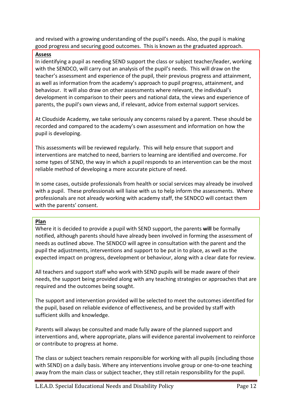and revised with a growing understanding of the pupil's needs. Also, the pupil is making good progress and securing good outcomes. This is known as the graduated approach.

#### Assess

In identifying a pupil as needing SEND support the class or subject teacher/leader, working with the SENDCO, will carry out an analysis of the pupil's needs. This will draw on the teacher's assessment and experience of the pupil, their previous progress and attainment, as well as information from the academy's approach to pupil progress, attainment, and behaviour. It will also draw on other assessments where relevant, the individual's development in comparison to their peers and national data, the views and experience of parents, the pupil's own views and, if relevant, advice from external support services.

At Cloudside Academy, we take seriously any concerns raised by a parent. These should be recorded and compared to the academy's own assessment and information on how the pupil is developing.

This assessments will be reviewed regularly. This will help ensure that support and interventions are matched to need, barriers to learning are identified and overcome. For some types of SEND, the way in which a pupil responds to an intervention can be the most reliable method of developing a more accurate picture of need.

In some cases, outside professionals from health or social services may already be involved with a pupil. These professionals will liaise with us to help inform the assessments. Where professionals are not already working with academy staff, the SENDCO will contact them with the parents' consent.

#### Plan

Where it is decided to provide a pupil with SEND support, the parents will be formally notified, although parents should have already been involved in forming the assessment of needs as outlined above. The SENDCO will agree in consultation with the parent and the pupil the adjustments, interventions and support to be put in to place, as well as the expected impact on progress, development or behaviour, along with a clear date for review.

All teachers and support staff who work with SEND pupils will be made aware of their needs, the support being provided along with any teaching strategies or approaches that are required and the outcomes being sought.

The support and intervention provided will be selected to meet the outcomes identified for the pupil, based on reliable evidence of effectiveness, and be provided by staff with sufficient skills and knowledge.

Parents will always be consulted and made fully aware of the planned support and interventions and, where appropriate, plans will evidence parental involvement to reinforce or contribute to progress at home.

The class or subject teachers remain responsible for working with all pupils (including those with SEND) on a daily basis. Where any interventions involve group or one-to-one teaching away from the main class or subject teacher, they still retain responsibility for the pupil.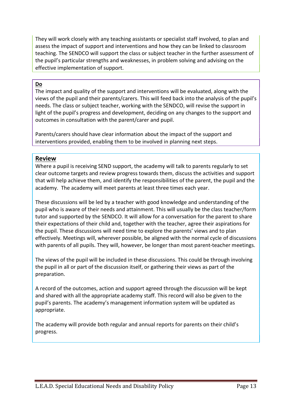They will work closely with any teaching assistants or specialist staff involved, to plan and assess the impact of support and interventions and how they can be linked to classroom teaching. The SENDCO will support the class or subject teacher in the further assessment of the pupil's particular strengths and weaknesses, in problem solving and advising on the effective implementation of support.

#### Do

The impact and quality of the support and interventions will be evaluated, along with the views of the pupil and their parents/carers. This will feed back into the analysis of the pupil's needs. The class or subject teacher, working with the SENDCO, will revise the support in light of the pupil's progress and development, deciding on any changes to the support and outcomes in consultation with the parent/carer and pupil.

Parents/carers should have clear information about the impact of the support and interventions provided, enabling them to be involved in planning next steps.

#### Review

Where a pupil is receiving SEND support, the academy will talk to parents regularly to set clear outcome targets and review progress towards them, discuss the activities and support that will help achieve them, and identify the responsibilities of the parent, the pupil and the academy. The academy will meet parents at least three times each year.

These discussions will be led by a teacher with good knowledge and understanding of the pupil who is aware of their needs and attainment. This will usually be the class teacher/form tutor and supported by the SENDCO. It will allow for a conversation for the parent to share their expectations of their child and, together with the teacher, agree their aspirations for the pupil. These discussions will need time to explore the parents' views and to plan effectively. Meetings will, wherever possible, be aligned with the normal cycle of discussions with parents of all pupils. They will, however, be longer than most parent-teacher meetings.

The views of the pupil will be included in these discussions. This could be through involving the pupil in all or part of the discussion itself, or gathering their views as part of the preparation.

A record of the outcomes, action and support agreed through the discussion will be kept and shared with all the appropriate academy staff. This record will also be given to the pupil's parents. The academy's management information system will be updated as appropriate.

The academy will provide both regular and annual reports for parents on their child's progress.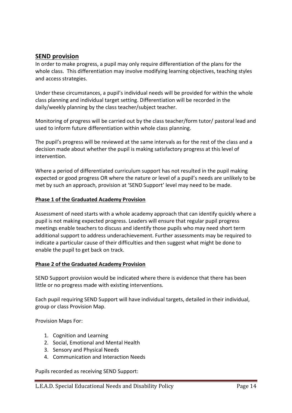#### SEND provision

In order to make progress, a pupil may only require differentiation of the plans for the whole class. This differentiation may involve modifying learning objectives, teaching styles and access strategies.

Under these circumstances, a pupil's individual needs will be provided for within the whole class planning and individual target setting. Differentiation will be recorded in the daily/weekly planning by the class teacher/subject teacher.

Monitoring of progress will be carried out by the class teacher/form tutor/ pastoral lead and used to inform future differentiation within whole class planning.

The pupil's progress will be reviewed at the same intervals as for the rest of the class and a decision made about whether the pupil is making satisfactory progress at this level of intervention.

Where a period of differentiated curriculum support has not resulted in the pupil making expected or good progress OR where the nature or level of a pupil's needs are unlikely to be met by such an approach, provision at 'SEND Support' level may need to be made.

#### Phase 1 of the Graduated Academy Provision

Assessment of need starts with a whole academy approach that can identify quickly where a pupil is not making expected progress. Leaders will ensure that regular pupil progress meetings enable teachers to discuss and identify those pupils who may need short term additional support to address underachievement. Further assessments may be required to indicate a particular cause of their difficulties and then suggest what might be done to enable the pupil to get back on track.

#### Phase 2 of the Graduated Academy Provision

SEND Support provision would be indicated where there is evidence that there has been little or no progress made with existing interventions.

Each pupil requiring SEND Support will have individual targets, detailed in their individual, group or class Provision Map.

Provision Maps For:

- 1. Cognition and Learning
- 2. Social, Emotional and Mental Health
- 3. Sensory and Physical Needs
- 4. Communication and Interaction Needs

Pupils recorded as receiving SEND Support: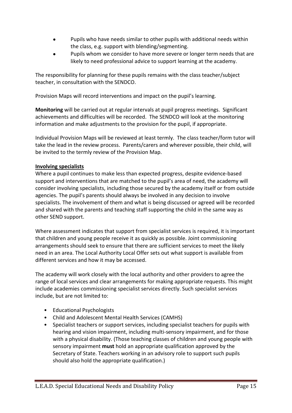- Pupils who have needs similar to other pupils with additional needs within the class, e.g. support with blending/segmenting.
- Pupils whom we consider to have more severe or longer term needs that are likely to need professional advice to support learning at the academy.

The responsibility for planning for these pupils remains with the class teacher/subject teacher, in consultation with the SENDCO.

Provision Maps will record interventions and impact on the pupil's learning.

Monitoring will be carried out at regular intervals at pupil progress meetings. Significant achievements and difficulties will be recorded. The SENDCO will look at the monitoring information and make adjustments to the provision for the pupil, if appropriate.

Individual Provision Maps will be reviewed at least termly. The class teacher/form tutor will take the lead in the review process. Parents/carers and wherever possible, their child, will be invited to the termly review of the Provision Map.

#### Involving specialists

Where a pupil continues to make less than expected progress, despite evidence-based support and interventions that are matched to the pupil's area of need, the academy will consider involving specialists, including those secured by the academy itself or from outside agencies. The pupil's parents should always be involved in any decision to involve specialists. The involvement of them and what is being discussed or agreed will be recorded and shared with the parents and teaching staff supporting the child in the same way as other SEND support.

Where assessment indicates that support from specialist services is required, it is important that children and young people receive it as quickly as possible. Joint commissioning arrangements should seek to ensure that there are sufficient services to meet the likely need in an area. The Local Authority Local Offer sets out what support is available from different services and how it may be accessed.

The academy will work closely with the local authority and other providers to agree the range of local services and clear arrangements for making appropriate requests. This might include academies commissioning specialist services directly. Such specialist services include, but are not limited to:

- Educational Psychologists
- Child and Adolescent Mental Health Services (CAMHS)
- Specialist teachers or support services, including specialist teachers for pupils with hearing and vision impairment, including multi-sensory impairment, and for those with a physical disability. (Those teaching classes of children and young people with sensory impairment must hold an appropriate qualification approved by the Secretary of State. Teachers working in an advisory role to support such pupils should also hold the appropriate qualification.)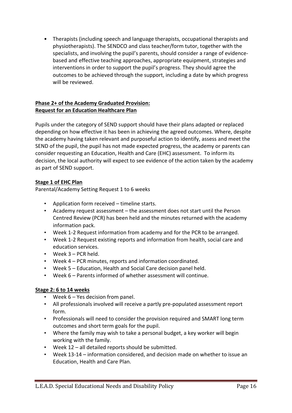• Therapists (including speech and language therapists, occupational therapists and physiotherapists). The SENDCO and class teacher/form tutor, together with the specialists, and involving the pupil's parents, should consider a range of evidencebased and effective teaching approaches, appropriate equipment, strategies and interventions in order to support the pupil's progress. They should agree the outcomes to be achieved through the support, including a date by which progress will be reviewed.

#### Phase 2+ of the Academy Graduated Provision: Request for an Education Healthcare Plan

Pupils under the category of SEND support should have their plans adapted or replaced depending on how effective it has been in achieving the agreed outcomes. Where, despite the academy having taken relevant and purposeful action to identify, assess and meet the SEND of the pupil, the pupil has not made expected progress, the academy or parents can consider requesting an Education, Health and Care (EHC) assessment. To inform its decision, the local authority will expect to see evidence of the action taken by the academy as part of SEND support.

# Stage 1 of EHC Plan

Parental/Academy Setting Request 1 to 6 weeks

- Application form received timeline starts.
- Academy request assessment the assessment does not start until the Person Centred Review (PCR) has been held and the minutes returned with the academy information pack.
- Week 1-2 Request information from academy and for the PCR to be arranged.
- Week 1-2 Request existing reports and information from health, social care and education services.
- Week 3 PCR held.
- Week 4 PCR minutes, reports and information coordinated.
- Week 5 Education, Health and Social Care decision panel held.
- Week 6 Parents informed of whether assessment will continue.

#### Stage 2: 6 to 14 weeks

- Week 6 Yes decision from panel.
- All professionals involved will receive a partly pre-populated assessment report form.
- Professionals will need to consider the provision required and SMART long term outcomes and short term goals for the pupil.
- Where the family may wish to take a personal budget, a key worker will begin working with the family.
- Week 12 all detailed reports should be submitted.
- Week 13-14 information considered, and decision made on whether to issue an Education, Health and Care Plan.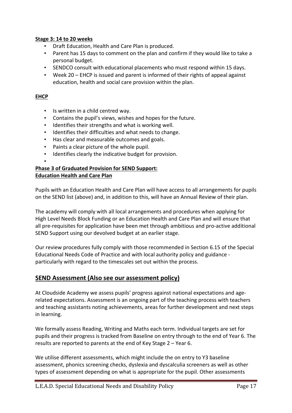#### Stage 3: 14 to 20 weeks

- Draft Education, Health and Care Plan is produced.
- Parent has 15 days to comment on the plan and confirm if they would like to take a personal budget.
- SENDCO consult with educational placements who must respond within 15 days.
- Week 20 EHCP is issued and parent is informed of their rights of appeal against education, health and social care provision within the plan.

#### EHCP

•

- Is written in a child centred way.
- Contains the pupil's views, wishes and hopes for the future.
- Identifies their strengths and what is working well.
- Identifies their difficulties and what needs to change.
- Has clear and measurable outcomes and goals.
- Paints a clear picture of the whole pupil.
- Identifies clearly the indicative budget for provision.

#### Phase 3 of Graduated Provision for SEND Support: Education Health and Care Plan

Pupils with an Education Health and Care Plan will have access to all arrangements for pupils on the SEND list (above) and, in addition to this, will have an Annual Review of their plan.

The academy will comply with all local arrangements and procedures when applying for High Level Needs Block Funding or an Education Health and Care Plan and will ensure that all pre-requisites for application have been met through ambitious and pro-active additional SEND Support using our devolved budget at an earlier stage.

Our review procedures fully comply with those recommended in Section 6.15 of the Special Educational Needs Code of Practice and with local authority policy and guidance particularly with regard to the timescales set out within the process.

# SEND Assessment (Also see our assessment policy)

At Cloudside Academy we assess pupils' progress against national expectations and agerelated expectations. Assessment is an ongoing part of the teaching process with teachers and teaching assistants noting achievements, areas for further development and next steps in learning.

We formally assess Reading, Writing and Maths each term. Individual targets are set for pupils and their progress is tracked from Baseline on entry through to the end of Year 6. The results are reported to parents at the end of Key Stage 2 – Year 6.

We utilise different assessments, which might include the on entry to Y3 baseline assessment, phonics screening checks, dyslexia and dyscalculia screeners as well as other types of assessment depending on what is appropriate for the pupil. Other assessments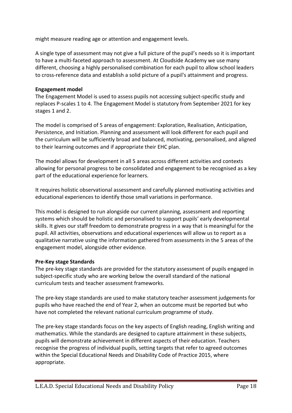might measure reading age or attention and engagement levels.

A single type of assessment may not give a full picture of the pupil's needs so it is important to have a multi-faceted approach to assessment. At Cloudside Academy we use many different, choosing a highly personalised combination for each pupil to allow school leaders to cross-reference data and establish a solid picture of a pupil's attainment and progress.

#### Engagement model

The Engagement Model is used to assess pupils not accessing subject-specific study and replaces P-scales 1 to 4. The Engagement Model is statutory from September 2021 for key stages 1 and 2.

The model is comprised of 5 areas of engagement: Exploration, Realisation, Anticipation, Persistence, and Initiation. Planning and assessment will look different for each pupil and the curriculum will be sufficiently broad and balanced, motivating, personalised, and aligned to their learning outcomes and if appropriate their EHC plan.

The model allows for development in all 5 areas across different activities and contexts allowing for personal progress to be consolidated and engagement to be recognised as a key part of the educational experience for learners.

It requires holistic observational assessment and carefully planned motivating activities and educational experiences to identify those small variations in performance.

This model is designed to run alongside our current planning, assessment and reporting systems which should be holistic and personalised to support pupils' early developmental skills. It gives our staff freedom to demonstrate progress in a way that is meaningful for the pupil. All activities, observations and educational experiences will allow us to report as a qualitative narrative using the information gathered from assessments in the 5 areas of the engagement model, alongside other evidence.

#### Pre-Key stage Standards

The pre-key stage standards are provided for the statutory assessment of pupils engaged in subject-specific study who are working below the overall standard of the national curriculum tests and teacher assessment frameworks.

The pre-key stage standards are used to make statutory teacher assessment judgements for pupils who have reached the end of Year 2, when an outcome must be reported but who have not completed the relevant national curriculum programme of study.

The pre-key stage standards focus on the key aspects of English reading, English writing and mathematics. While the standards are designed to capture attainment in these subjects, pupils will demonstrate achievement in different aspects of their education. Teachers recognise the progress of individual pupils, setting targets that refer to agreed outcomes within the Special Educational Needs and Disability Code of Practice 2015, where appropriate.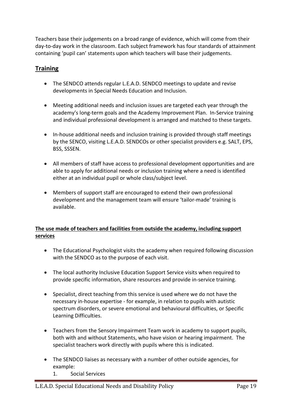Teachers base their judgements on a broad range of evidence, which will come from their day-to-day work in the classroom. Each subject framework has four standards of attainment containing 'pupil can' statements upon which teachers will base their judgements.

# **Training**

- The SENDCO attends regular L.E.A.D. SENDCO meetings to update and revise developments in Special Needs Education and Inclusion.
- Meeting additional needs and inclusion issues are targeted each year through the academy's long-term goals and the Academy Improvement Plan. In-Service training and individual professional development is arranged and matched to these targets.
- In-house additional needs and inclusion training is provided through staff meetings by the SENCO, visiting L.E.A.D. SENDCOs or other specialist providers e.g. SALT, EPS, BSS, SSSEN.
- All members of staff have access to professional development opportunities and are able to apply for additional needs or inclusion training where a need is identified either at an individual pupil or whole class/subject level.
- Members of support staff are encouraged to extend their own professional development and the management team will ensure 'tailor-made' training is available.

#### The use made of teachers and facilities from outside the academy, including support services

- The Educational Psychologist visits the academy when required following discussion with the SENDCO as to the purpose of each visit.
- The local authority Inclusive Education Support Service visits when required to provide specific information, share resources and provide in-service training.
- Specialist, direct teaching from this service is used where we do not have the necessary in-house expertise - for example, in relation to pupils with autistic spectrum disorders, or severe emotional and behavioural difficulties, or Specific Learning Difficulties.
- Teachers from the Sensory Impairment Team work in academy to support pupils, both with and without Statements, who have vision or hearing impairment. The specialist teachers work directly with pupils where this is indicated.
- The SENDCO liaises as necessary with a number of other outside agencies, for example:
	- 1. Social Services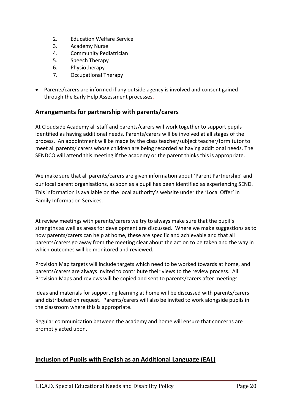- 2. Education Welfare Service
- 3. Academy Nurse
- 4. Community Pediatrician
- 5. Speech Therapy
- 6. Physiotherapy
- 7. Occupational Therapy
- Parents/carers are informed if any outside agency is involved and consent gained through the Early Help Assessment processes.

# Arrangements for partnership with parents/carers

At Cloudside Academy all staff and parents/carers will work together to support pupils identified as having additional needs. Parents/carers will be involved at all stages of the process. An appointment will be made by the class teacher/subject teacher/form tutor to meet all parents/ carers whose children are being recorded as having additional needs. The SENDCO will attend this meeting if the academy or the parent thinks this is appropriate.

We make sure that all parents/carers are given information about 'Parent Partnership' and our local parent organisations, as soon as a pupil has been identified as experiencing SEND. This information is available on the local authority's website under the 'Local Offer' in Family Information Services.

At review meetings with parents/carers we try to always make sure that the pupil's strengths as well as areas for development are discussed. Where we make suggestions as to how parents/carers can help at home, these are specific and achievable and that all parents/carers go away from the meeting clear about the action to be taken and the way in which outcomes will be monitored and reviewed.

Provision Map targets will include targets which need to be worked towards at home, and parents/carers are always invited to contribute their views to the review process. All Provision Maps and reviews will be copied and sent to parents/carers after meetings.

Ideas and materials for supporting learning at home will be discussed with parents/carers and distributed on request. Parents/carers will also be invited to work alongside pupils in the classroom where this is appropriate.

Regular communication between the academy and home will ensure that concerns are promptly acted upon.

# Inclusion of Pupils with English as an Additional Language (EAL)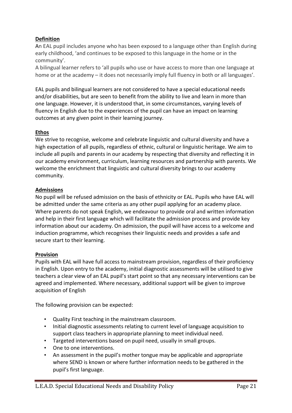#### Definition

An EAL pupil includes anyone who has been exposed to a language other than English during early childhood, 'and continues to be exposed to this language in the home or in the community'.

A bilingual learner refers to 'all pupils who use or have access to more than one language at home or at the academy – it does not necessarily imply full fluency in both or all languages'.

EAL pupils and bilingual learners are not considered to have a special educational needs and/or disabilities, but are seen to benefit from the ability to live and learn in more than one language. However, it is understood that, in some circumstances, varying levels of fluency in English due to the experiences of the pupil can have an impact on learning outcomes at any given point in their learning journey.

#### Ethos

We strive to recognise, welcome and celebrate linguistic and cultural diversity and have a high expectation of all pupils, regardless of ethnic, cultural or linguistic heritage. We aim to include all pupils and parents in our academy by respecting that diversity and reflecting it in our academy environment, curriculum, learning resources and partnership with parents. We welcome the enrichment that linguistic and cultural diversity brings to our academy community.

#### **Admissions**

No pupil will be refused admission on the basis of ethnicity or EAL. Pupils who have EAL will be admitted under the same criteria as any other pupil applying for an academy place. Where parents do not speak English, we endeavour to provide oral and written information and help in their first language which will facilitate the admission process and provide key information about our academy. On admission, the pupil will have access to a welcome and induction programme, which recognises their linguistic needs and provides a safe and secure start to their learning.

#### Provision

Pupils with EAL will have full access to mainstream provision, regardless of their proficiency in English. Upon entry to the academy, initial diagnostic assessments will be utilised to give teachers a clear view of an EAL pupil's start point so that any necessary interventions can be agreed and implemented. Where necessary, additional support will be given to improve acquisition of English

The following provision can be expected:

- Quality First teaching in the mainstream classroom.
- Initial diagnostic assessments relating to current level of language acquisition to support class teachers in appropriate planning to meet individual need.
- Targeted interventions based on pupil need, usually in small groups.
- One to one interventions.
- An assessment in the pupil's mother tongue may be applicable and appropriate where SEND is known or where further information needs to be gathered in the pupil's first language.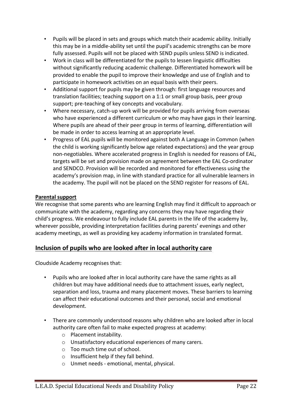- Pupils will be placed in sets and groups which match their academic ability. Initially this may be in a middle-ability set until the pupil's academic strengths can be more fully assessed. Pupils will not be placed with SEND pupils unless SEND is indicated.
- Work in class will be differentiated for the pupils to lessen linguistic difficulties without significantly reducing academic challenge. Differentiated homework will be provided to enable the pupil to improve their knowledge and use of English and to participate in homework activities on an equal basis with their peers.
- Additional support for pupils may be given through: first language resources and translation facilities; teaching support on a 1:1 or small group basis, peer group support; pre-teaching of key concepts and vocabulary.
- Where necessary, catch-up work will be provided for pupils arriving from overseas who have experienced a different curriculum or who may have gaps in their learning. Where pupils are ahead of their peer group in terms of learning, differentiation will be made in order to access learning at an appropriate level.
- Progress of EAL pupils will be monitored against both A Language in Common (when the child is working significantly below age related expectations) and the year group non-negotiables. Where accelerated progress in English is needed for reasons of EAL, targets will be set and provision made on agreement between the EAL Co-ordinator and SENDCO. Provision will be recorded and monitored for effectiveness using the academy's provision map, in line with standard practice for all vulnerable learners in the academy. The pupil will not be placed on the SEND register for reasons of EAL.

#### Parental support

We recognise that some parents who are learning English may find it difficult to approach or communicate with the academy, regarding any concerns they may have regarding their child's progress. We endeavour to fully include EAL parents in the life of the academy by, wherever possible, providing interpretation facilities during parents' evenings and other academy meetings, as well as providing key academy information in translated format.

# Inclusion of pupils who are looked after in local authority care

Cloudside Academy recognises that:

- Pupils who are looked after in local authority care have the same rights as all children but may have additional needs due to attachment issues, early neglect, separation and loss, trauma and many placement moves. These barriers to learning can affect their educational outcomes and their personal, social and emotional development.
- There are commonly understood reasons why children who are looked after in local authority care often fail to make expected progress at academy:
	- o Placement instability.
	- o Unsatisfactory educational experiences of many carers.
	- o Too much time out of school.
	- o Insufficient help if they fall behind.
	- o Unmet needs emotional, mental, physical.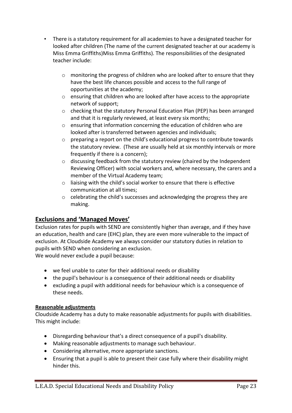- There is a statutory requirement for all academies to have a designated teacher for looked after children (The name of the current designated teacher at our academy is Miss Emma Griffiths)Miss Emma Griffiths). The responsibilities of the designated teacher include:
	- $\circ$  monitoring the progress of children who are looked after to ensure that they have the best life chances possible and access to the full range of opportunities at the academy;
	- o ensuring that children who are looked after have access to the appropriate network of support;
	- $\circ$  checking that the statutory Personal Education Plan (PEP) has been arranged and that it is regularly reviewed, at least every six months;
	- o ensuring that information concerning the education of children who are looked after is transferred between agencies and individuals;
	- o preparing a report on the child's educational progress to contribute towards the statutory review. (These are usually held at six monthly intervals or more frequently if there is a concern);
	- o discussing feedback from the statutory review (chaired by the Independent Reviewing Officer) with social workers and, where necessary, the carers and a member of the Virtual Academy team;
	- o liaising with the child's social worker to ensure that there is effective communication at all times;
	- $\circ$  celebrating the child's successes and acknowledging the progress they are making.

# Exclusions and 'Managed Moves'

Exclusion rates for pupils with SEND are consistently higher than average, and if they have an education, health and care (EHC) plan, they are even more vulnerable to the impact of exclusion. At Cloudside Academy we always consider our statutory duties in relation to pupils with SEND when considering an exclusion. We would never exclude a pupil because:

- we feel unable to cater for their additional needs or disability
- the pupil's behaviour is a consequence of their additional needs or disability
- excluding a pupil with additional needs for behaviour which is a consequence of these needs.

#### Reasonable adjustments

Cloudside Academy has a duty to make reasonable adjustments for pupils with disabilities. This might include:

- Disregarding behaviour that's a direct consequence of a pupil's disability.
- Making reasonable adjustments to manage such behaviour.
- Considering alternative, more appropriate sanctions.
- Ensuring that a pupil is able to present their case fully where their disability might hinder this.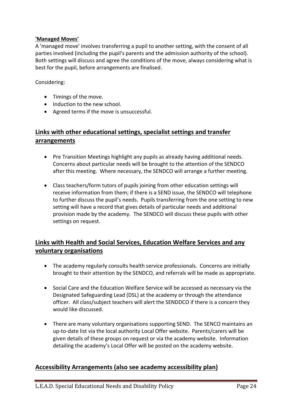#### 'Managed Moves'

A 'managed move' involves transferring a pupil to another setting, with the consent of all parties involved (including the pupil's parents and the admission authority of the school). Both settings will discuss and agree the conditions of the move, always considering what is best for the pupil, before arrangements are finalised.

Considering:

- Timings of the move.
- Induction to the new school.
- Agreed terms if the move is unsuccessful.

# Links with other educational settings, specialist settings and transfer arrangements

- Pre Transition Meetings highlight any pupils as already having additional needs. Concerns about particular needs will be brought to the attention of the SENDCO after this meeting. Where necessary, the SENDCO will arrange a further meeting.
- Class teachers/form tutors of pupils joining from other education settings will receive information from them; if there is a SEND issue, the SENDCO will telephone to further discuss the pupil's needs. Pupils transferring from the one setting to new setting will have a record that gives details of particular needs and additional provision made by the academy. The SENDCO will discuss these pupils with other settings on request.

# Links with Health and Social Services, Education Welfare Services and any voluntary organisations

- The academy regularly consults health service professionals. Concerns are initially brought to their attention by the SENDCO, and referrals will be made as appropriate.
- Social Care and the Education Welfare Service will be accessed as necessary via the Designated Safeguarding Lead (DSL) at the academy or through the attendance officer. All class/subject teachers will alert the SENDDCO if there is a concern they would like discussed.
- There are many voluntary organisations supporting SEND. The SENCO maintains an up-to-date list via the local authority Local Offer website. Parents/carers will be given details of these groups on request or via the academy website. Information detailing the academy's Local Offer will be posted on the academy website.

# Accessibility Arrangements (also see academy accessibility plan)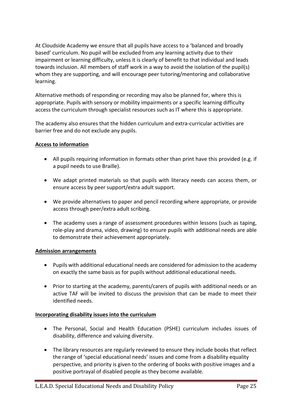At Cloudside Academy we ensure that all pupils have access to a 'balanced and broadly based' curriculum. No pupil will be excluded from any learning activity due to their impairment or learning difficulty, unless it is clearly of benefit to that individual and leads towards inclusion. All members of staff work in a way to avoid the isolation of the pupil(s) whom they are supporting, and will encourage peer tutoring/mentoring and collaborative learning.

Alternative methods of responding or recording may also be planned for, where this is appropriate. Pupils with sensory or mobility impairments or a specific learning difficulty access the curriculum through specialist resources such as IT where this is appropriate.

The academy also ensures that the hidden curriculum and extra-curricular activities are barrier free and do not exclude any pupils.

#### Access to information

- All pupils requiring information in formats other than print have this provided (e.g. if a pupil needs to use Braille).
- We adapt printed materials so that pupils with literacy needs can access them, or ensure access by peer support/extra adult support.
- We provide alternatives to paper and pencil recording where appropriate, or provide access through peer/extra adult scribing.
- The academy uses a range of assessment procedures within lessons (such as taping, role-play and drama, video, drawing) to ensure pupils with additional needs are able to demonstrate their achievement appropriately.

#### Admission arrangements

- Pupils with additional educational needs are considered for admission to the academy on exactly the same basis as for pupils without additional educational needs.
- Prior to starting at the academy, parents/carers of pupils with additional needs or an active TAF will be invited to discuss the provision that can be made to meet their identified needs.

#### Incorporating disability issues into the curriculum

- The Personal, Social and Health Education (PSHE) curriculum includes issues of disability, difference and valuing diversity.
- The library resources are regularly reviewed to ensure they include books that reflect the range of 'special educational needs' issues and come from a disability equality perspective, and priority is given to the ordering of books with positive images and a positive portrayal of disabled people as they become available.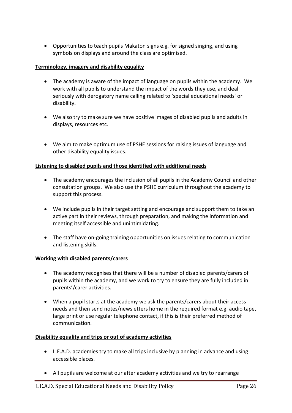Opportunities to teach pupils Makaton signs e.g. for signed singing, and using symbols on displays and around the class are optimised.

#### Terminology, imagery and disability equality

- The academy is aware of the impact of language on pupils within the academy. We work with all pupils to understand the impact of the words they use, and deal seriously with derogatory name calling related to 'special educational needs' or disability.
- We also try to make sure we have positive images of disabled pupils and adults in displays, resources etc.
- We aim to make optimum use of PSHE sessions for raising issues of language and other disability equality issues.

#### Listening to disabled pupils and those identified with additional needs

- The academy encourages the inclusion of all pupils in the Academy Council and other consultation groups. We also use the PSHE curriculum throughout the academy to support this process.
- We include pupils in their target setting and encourage and support them to take an active part in their reviews, through preparation, and making the information and meeting itself accessible and unintimidating.
- The staff have on-going training opportunities on issues relating to communication and listening skills.

#### Working with disabled parents/carers

- The academy recognises that there will be a number of disabled parents/carers of pupils within the academy, and we work to try to ensure they are fully included in parents'/carer activities.
- When a pupil starts at the academy we ask the parents/carers about their access needs and then send notes/newsletters home in the required format e.g. audio tape, large print or use regular telephone contact, if this is their preferred method of communication.

#### Disability equality and trips or out of academy activities

- L.E.A.D. academies try to make all trips inclusive by planning in advance and using accessible places.
- All pupils are welcome at our after academy activities and we try to rearrange